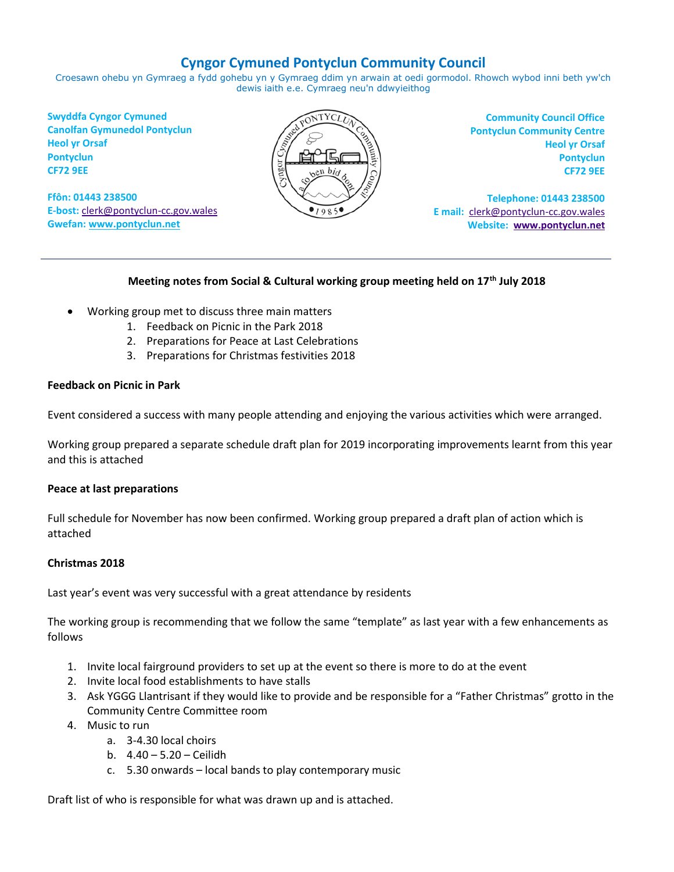#### **Cyngor Cymuned Pontyclun Community Council**

Croesawn ohebu yn Gymraeg a fydd gohebu yn y Gymraeg ddim yn arwain at oedi gormodol. Rhowch wybod inni beth yw'ch dewis iaith e.e. Cymraeg neu'n ddwyieithog

**Swyddfa Cyngor Cymuned Canolfan Gymunedol Pontyclun Heol yr Orsaf Pontyclun CF72 9EE**

**Ffôn: 01443 238500 E-bost:** [clerk@pontyclun-cc.gov.wales](mailto:clerk@pontyclun-cc.gov.wales) **Gwefan[: www.pontyclun.net](http://www.pontyclun.net/)** 



**Community Council Office Pontyclun Community Centre Heol yr Orsaf Pontyclun CF72 9EE**

**Telephone: 01443 238500 E mail:** [clerk@pontyclun-cc.gov.wales](mailto:clerk@pontyclun-cc.gov.wales)  **Website: [www.pontyclun.net](http://www.pontyclun.net/)**

#### **Meeting notes from Social & Cultural working group meeting held on 17th July 2018**

- Working group met to discuss three main matters
	- 1. Feedback on Picnic in the Park 2018
	- 2. Preparations for Peace at Last Celebrations
	- 3. Preparations for Christmas festivities 2018

#### **Feedback on Picnic in Park**

Event considered a success with many people attending and enjoying the various activities which were arranged.

Working group prepared a separate schedule draft plan for 2019 incorporating improvements learnt from this year and this is attached

#### **Peace at last preparations**

Full schedule for November has now been confirmed. Working group prepared a draft plan of action which is attached

#### **Christmas 2018**

Last year's event was very successful with a great attendance by residents

The working group is recommending that we follow the same "template" as last year with a few enhancements as follows

- 1. Invite local fairground providers to set up at the event so there is more to do at the event
- 2. Invite local food establishments to have stalls
- 3. Ask YGGG Llantrisant if they would like to provide and be responsible for a "Father Christmas" grotto in the Community Centre Committee room
- 4. Music to run
	- a. 3-4.30 local choirs
	- b. 4.40 5.20 Ceilidh
	- c. 5.30 onwards local bands to play contemporary music

Draft list of who is responsible for what was drawn up and is attached.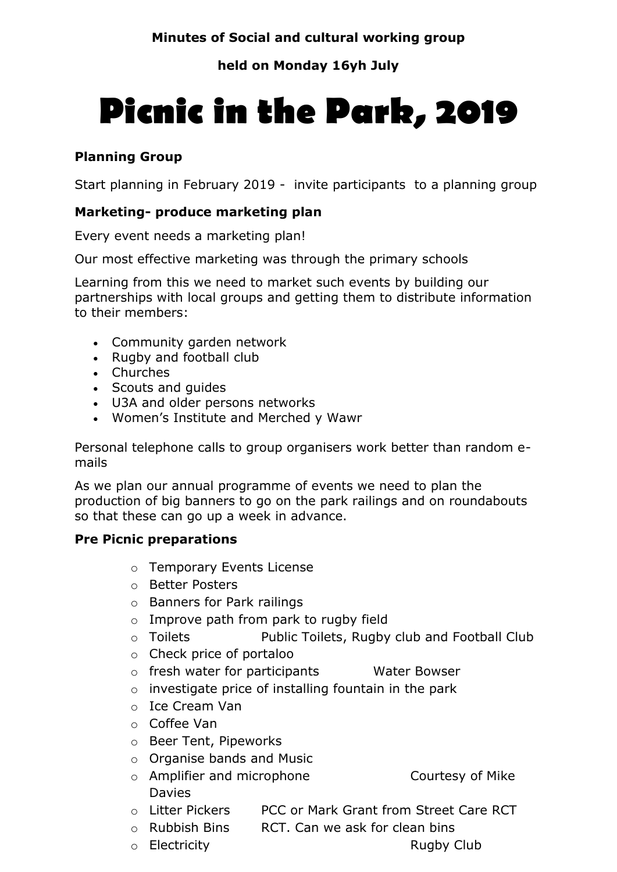#### **held on Monday 16yh July**

# **Picnic in the Park, 2019**

#### **Planning Group**

Start planning in February 2019 - invite participants to a planning group

#### **Marketing- produce marketing plan**

Every event needs a marketing plan!

Our most effective marketing was through the primary schools

Learning from this we need to market such events by building our partnerships with local groups and getting them to distribute information to their members:

- Community garden network
- Rugby and football club
- Churches
- Scouts and guides
- U3A and older persons networks
- Women's Institute and Merched y Wawr

Personal telephone calls to group organisers work better than random emails

As we plan our annual programme of events we need to plan the production of big banners to go on the park railings and on roundabouts so that these can go up a week in advance.

#### **Pre Picnic preparations**

- o Temporary Events License
- o Better Posters
- o Banners for Park railings
- o Improve path from park to rugby field
- o Toilets Public Toilets, Rugby club and Football Club
- o Check price of portaloo
- o fresh water for participants Water Bowser
- o investigate price of installing fountain in the park
- o Ice Cream Van
- o Coffee Van
- o Beer Tent, Pipeworks
- o Organise bands and Music
- o Amplifier and microphone Courtesy of Mike Davies
- o Litter Pickers PCC or Mark Grant from Street Care RCT
- o Rubbish Bins RCT. Can we ask for clean bins
- o Electricity **Rugby Club** 
	-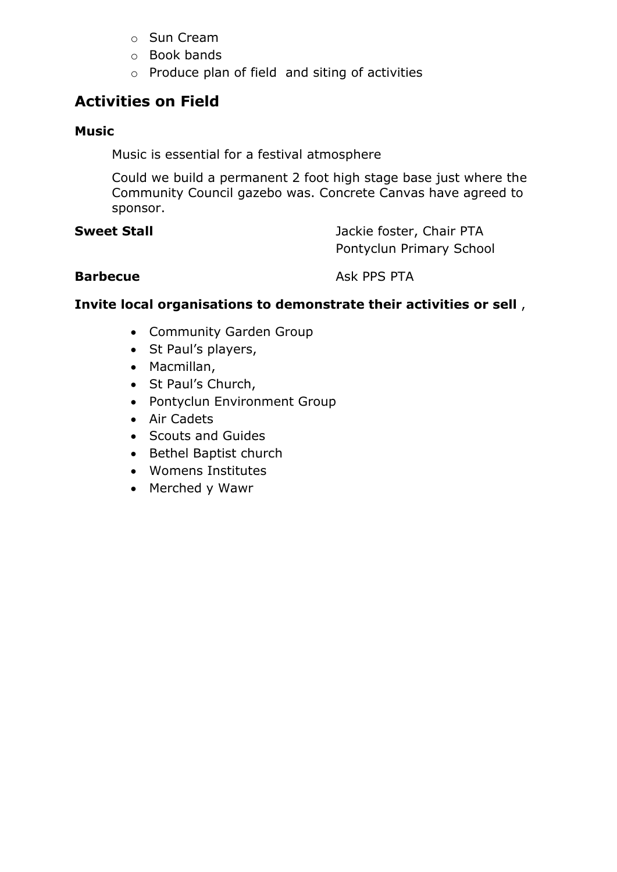- o Sun Cream
- o Book bands
- o Produce plan of field and siting of activities

#### **Activities on Field**

#### **Music**

Music is essential for a festival atmosphere

Could we build a permanent 2 foot high stage base just where the Community Council gazebo was. Concrete Canvas have agreed to sponsor.

**Sweet Stall Sweet Stall Jackie foster, Chair PTA** Pontyclun Primary School

**Barbecue** Ask PPS PTA

#### **Invite local organisations to demonstrate their activities or sell** ,

- Community Garden Group
- St Paul's players,
- Macmillan,
- St Paul's Church,
- Pontyclun Environment Group
- Air Cadets
- Scouts and Guides
- Bethel Baptist church
- Womens Institutes
- Merched y Wawr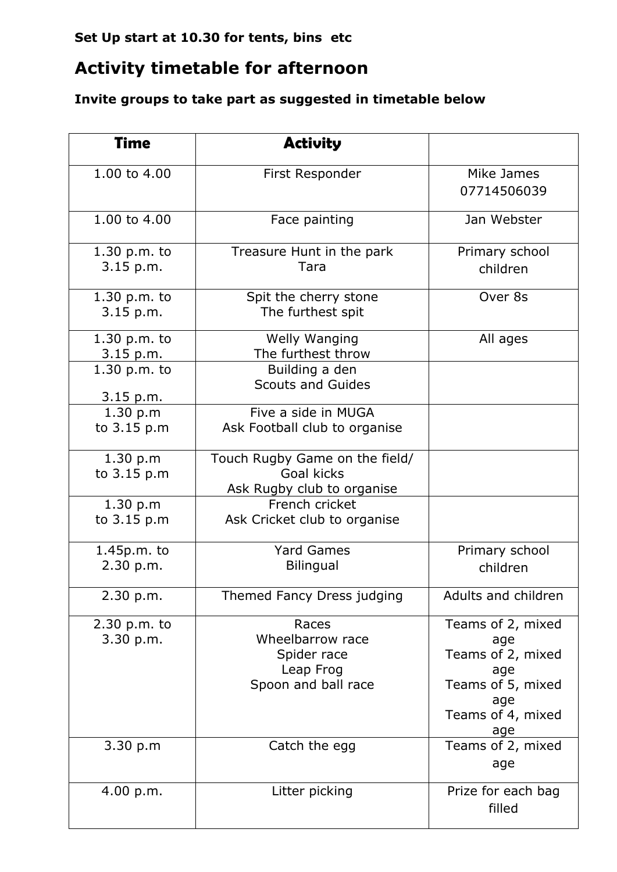## **Set Up start at 10.30 for tents, bins etc**

# **Activity timetable for afternoon**

# **Invite groups to take part as suggested in timetable below**

| <b>Time</b>                               | <b>Activity</b>                                                              |                                                                                                              |
|-------------------------------------------|------------------------------------------------------------------------------|--------------------------------------------------------------------------------------------------------------|
| 1.00 to 4.00                              | First Responder                                                              | Mike James<br>07714506039                                                                                    |
| 1.00 to 4.00                              | Face painting                                                                | Jan Webster                                                                                                  |
| $1.30$ p.m. to<br>3.15 p.m.               | Treasure Hunt in the park<br>Tara                                            | Primary school<br>children                                                                                   |
| $1.30$ p.m. to<br>$3.15$ p.m.             | Spit the cherry stone<br>The furthest spit                                   | Over 8s                                                                                                      |
| 1.30 p.m. to<br>3.15 p.m.<br>1.30 p.m. to | Welly Wanging<br>The furthest throw<br>Building a den                        | All ages                                                                                                     |
| 3.15 p.m.<br>1.30 p.m                     | <b>Scouts and Guides</b><br>Five a side in MUGA                              |                                                                                                              |
| to 3.15 p.m                               | Ask Football club to organise                                                |                                                                                                              |
| 1.30 p.m<br>to 3.15 p.m                   | Touch Rugby Game on the field/<br>Goal kicks<br>Ask Rugby club to organise   |                                                                                                              |
| 1.30 p.m<br>to 3.15 p.m                   | French cricket<br>Ask Cricket club to organise                               |                                                                                                              |
| 1.45p.m. to<br>2.30 p.m.                  | <b>Yard Games</b><br><b>Bilingual</b>                                        | Primary school<br>children                                                                                   |
| 2.30 p.m.                                 | Themed Fancy Dress judging                                                   | Adults and children                                                                                          |
| $2.30$ p.m. to<br>3.30 p.m.               | Races<br>Wheelbarrow race<br>Spider race<br>Leap Frog<br>Spoon and ball race | Teams of 2, mixed<br>age<br>Teams of 2, mixed<br>age<br>Teams of 5, mixed<br>age<br>Teams of 4, mixed<br>age |
| 3.30 p.m                                  | Catch the egg                                                                | Teams of 2, mixed<br>age                                                                                     |
| 4.00 p.m.                                 | Litter picking                                                               | Prize for each bag<br>filled                                                                                 |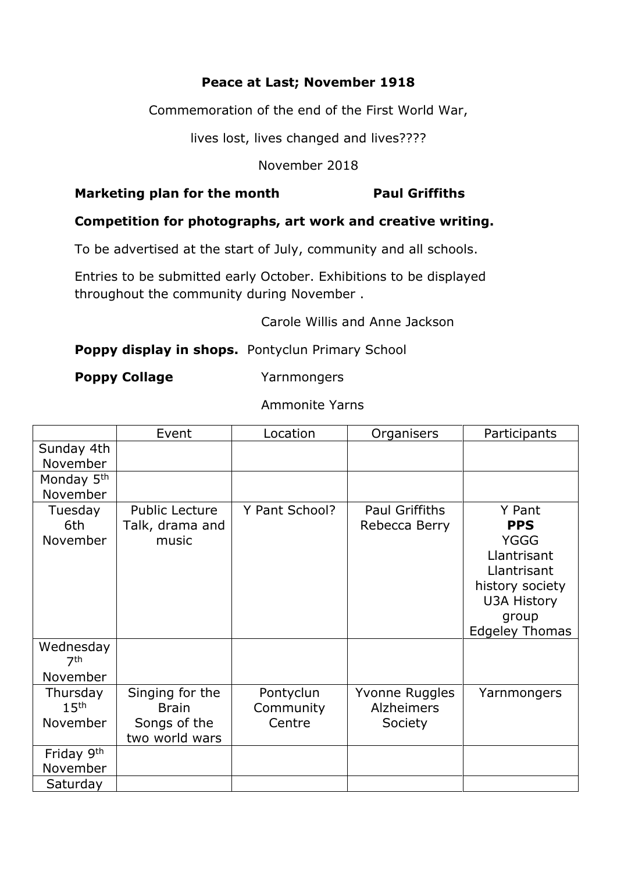#### **Peace at Last; November 1918**

Commemoration of the end of the First World War,

lives lost, lives changed and lives????

November 2018

#### **Marketing plan for the month Paul Griffiths**

#### **Competition for photographs, art work and creative writing.**

To be advertised at the start of July, community and all schools.

Entries to be submitted early October. Exhibitions to be displayed throughout the community during November .

Carole Willis and Anne Jackson

#### **Poppy display in shops.** Pontyclun Primary School

**Poppy Collage** Yarnmongers

Ammonite Yarns

|                              | Event           | Location       | Organisers        | Participants          |
|------------------------------|-----------------|----------------|-------------------|-----------------------|
| Sunday 4th                   |                 |                |                   |                       |
| November                     |                 |                |                   |                       |
| Monday 5 <sup>th</sup>       |                 |                |                   |                       |
| November                     |                 |                |                   |                       |
| Tuesday                      | Public Lecture  | Y Pant School? | Paul Griffiths    | Y Pant                |
| 6th                          | Talk, drama and |                | Rebecca Berry     | <b>PPS</b>            |
| November                     | music           |                |                   | <b>YGGG</b>           |
|                              |                 |                |                   | Llantrisant           |
|                              |                 |                |                   | Llantrisant           |
|                              |                 |                |                   | history society       |
|                              |                 |                |                   | <b>U3A History</b>    |
|                              |                 |                |                   | group                 |
|                              |                 |                |                   | <b>Edgeley Thomas</b> |
| Wednesday<br>7 <sup>th</sup> |                 |                |                   |                       |
| November                     |                 |                |                   |                       |
| Thursday                     | Singing for the | Pontyclun      | Yvonne Ruggles    | Yarnmongers           |
| 15 <sup>th</sup>             | <b>Brain</b>    | Community      | <b>Alzheimers</b> |                       |
| November                     | Songs of the    | Centre         | Society           |                       |
|                              | two world wars  |                |                   |                       |
| Friday 9th                   |                 |                |                   |                       |
| November                     |                 |                |                   |                       |
| Saturday                     |                 |                |                   |                       |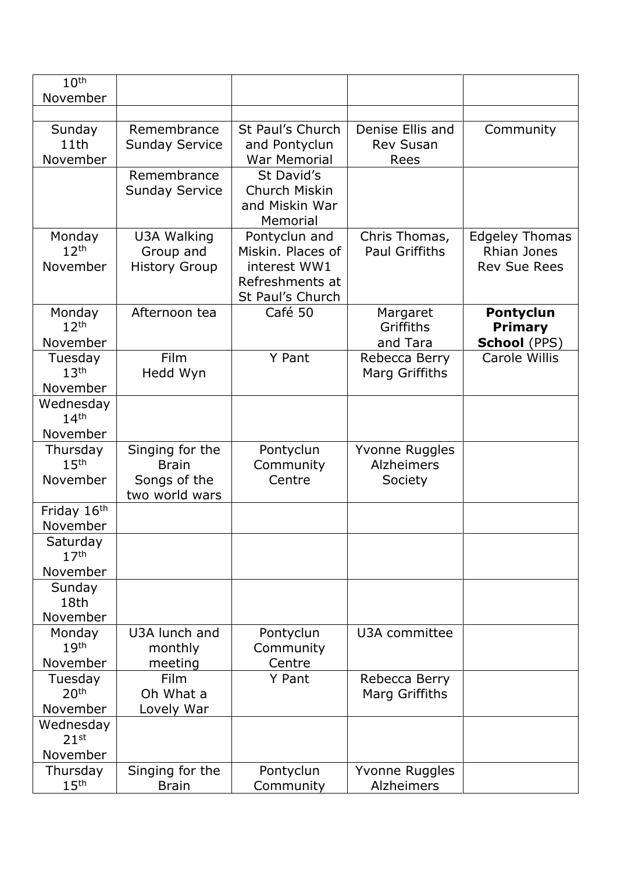| 10 <sup>th</sup>             |                                 |                           |                                        |                                             |
|------------------------------|---------------------------------|---------------------------|----------------------------------------|---------------------------------------------|
| November                     |                                 |                           |                                        |                                             |
|                              |                                 |                           |                                        |                                             |
| Sunday                       | Remembrance                     | St Paul's Church          | Denise Ellis and                       | Community                                   |
| 11th                         | <b>Sunday Service</b>           | and Pontyclun             | <b>Rev Susan</b>                       |                                             |
| November                     |                                 | <b>War Memorial</b>       | Rees                                   |                                             |
|                              | Remembrance                     | St David's                |                                        |                                             |
|                              | <b>Sunday Service</b>           | Church Miskin             |                                        |                                             |
|                              |                                 | and Miskin War            |                                        |                                             |
|                              |                                 | Memorial<br>Pontyclun and |                                        |                                             |
| Monday<br>12 <sup>th</sup>   | U3A Walking<br>Group and        | Miskin. Places of         | Chris Thomas,<br><b>Paul Griffiths</b> | <b>Edgeley Thomas</b><br><b>Rhian Jones</b> |
| November                     | <b>History Group</b>            | interest WW1              |                                        | <b>Rev Sue Rees</b>                         |
|                              |                                 | Refreshments at           |                                        |                                             |
|                              |                                 | St Paul's Church          |                                        |                                             |
| Monday                       | Afternoon tea                   | Café 50                   | Margaret                               | <b>Pontyclun</b>                            |
| 12 <sup>th</sup>             |                                 |                           | Griffiths                              | <b>Primary</b>                              |
| November                     |                                 |                           | and Tara                               | <b>School (PPS)</b>                         |
| Tuesday                      | Film                            | Y Pant                    | Rebecca Berry                          | Carole Willis                               |
| 13 <sup>th</sup>             | Hedd Wyn                        |                           | Marg Griffiths                         |                                             |
| November                     |                                 |                           |                                        |                                             |
| Wednesday                    |                                 |                           |                                        |                                             |
| 14 <sup>th</sup>             |                                 |                           |                                        |                                             |
| November                     |                                 |                           |                                        |                                             |
| Thursday<br>15 <sup>th</sup> | Singing for the<br><b>Brain</b> | Pontyclun<br>Community    | Yvonne Ruggles<br><b>Alzheimers</b>    |                                             |
| November                     | Songs of the                    | Centre                    | Society                                |                                             |
|                              | two world wars                  |                           |                                        |                                             |
| Friday 16th                  |                                 |                           |                                        |                                             |
| November                     |                                 |                           |                                        |                                             |
| Saturday                     |                                 |                           |                                        |                                             |
| 17 <sup>th</sup>             |                                 |                           |                                        |                                             |
| November                     |                                 |                           |                                        |                                             |
| Sunday                       |                                 |                           |                                        |                                             |
| 18th                         |                                 |                           |                                        |                                             |
| November                     |                                 |                           |                                        |                                             |
| Monday<br>19 <sup>th</sup>   | U3A lunch and                   | Pontyclun                 | U3A committee                          |                                             |
| November                     | monthly<br>meeting              | Community<br>Centre       |                                        |                                             |
| Tuesday                      | Film                            | Y Pant                    | Rebecca Berry                          |                                             |
| 20 <sup>th</sup>             | Oh What a                       |                           | Marg Griffiths                         |                                             |
| November                     | Lovely War                      |                           |                                        |                                             |
| Wednesday                    |                                 |                           |                                        |                                             |
| 21 <sup>st</sup>             |                                 |                           |                                        |                                             |
| November                     |                                 |                           |                                        |                                             |
| Thursday                     | Singing for the                 | Pontyclun                 | Yvonne Ruggles                         |                                             |
| 15 <sup>th</sup>             | <b>Brain</b>                    | Community                 | Alzheimers                             |                                             |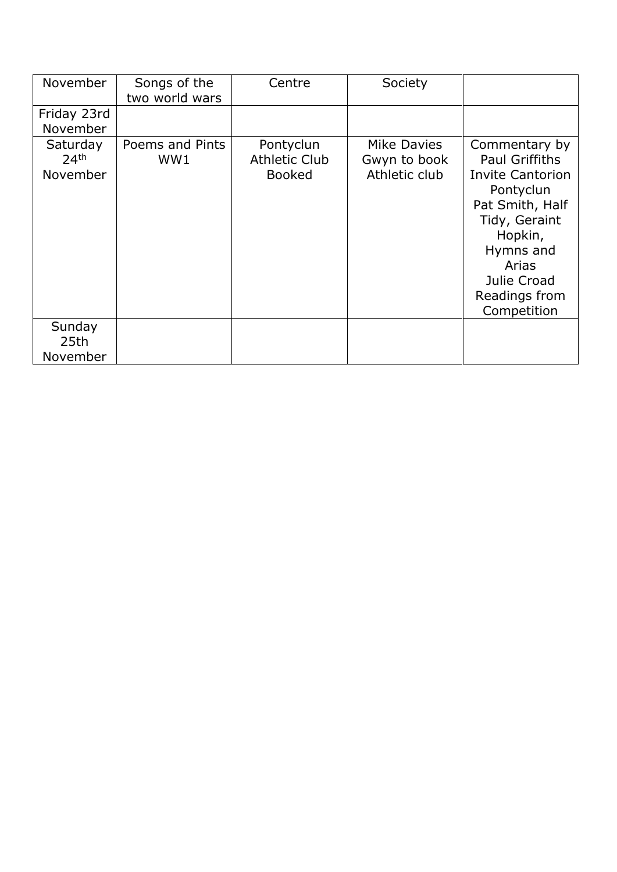| November                                 | Songs of the<br>two world wars | Centre                                             | Society                                      |                                                                                                                                                                                                    |
|------------------------------------------|--------------------------------|----------------------------------------------------|----------------------------------------------|----------------------------------------------------------------------------------------------------------------------------------------------------------------------------------------------------|
| Friday 23rd<br>November                  |                                |                                                    |                                              |                                                                                                                                                                                                    |
| Saturday<br>24 <sup>th</sup><br>November | Poems and Pints<br>WW1         | Pontyclun<br><b>Athletic Club</b><br><b>Booked</b> | Mike Davies<br>Gwyn to book<br>Athletic club | Commentary by<br><b>Paul Griffiths</b><br><b>Invite Cantorion</b><br>Pontyclun<br>Pat Smith, Half<br>Tidy, Geraint<br>Hopkin,<br>Hymns and<br>Arias<br>Julie Croad<br>Readings from<br>Competition |
| Sunday<br>25th<br>November               |                                |                                                    |                                              |                                                                                                                                                                                                    |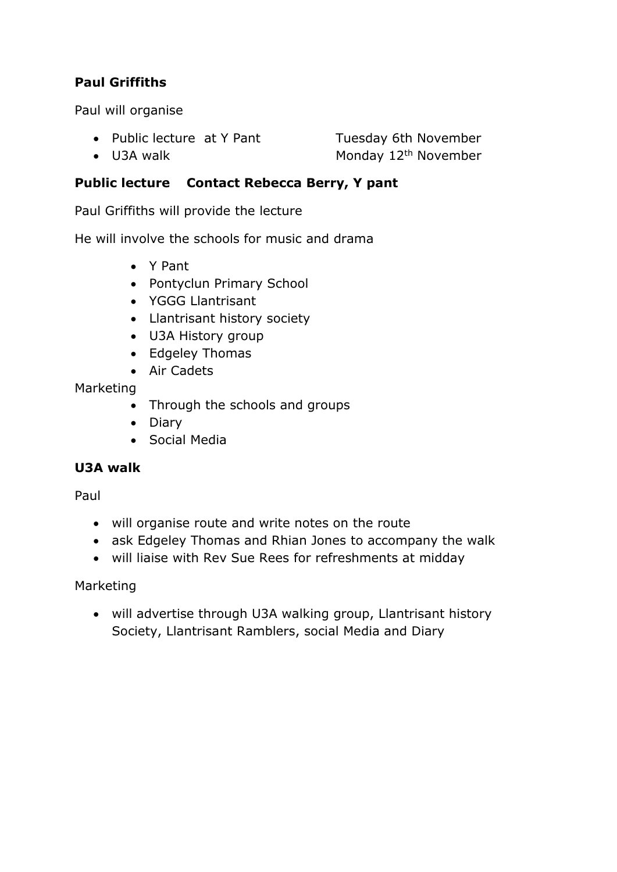#### **Paul Griffiths**

Paul will organise

• Public lecture at Y Pant Tuesday 6th November

• U3A walk  $\bullet$  Monday 12<sup>th</sup> November

**Public lecture Contact Rebecca Berry, Y pant** 

Paul Griffiths will provide the lecture

He will involve the schools for music and drama

- Y Pant
- Pontyclun Primary School
- YGGG Llantrisant
- Llantrisant history society
- U3A History group
- Edgeley Thomas
- Air Cadets

#### Marketing

- Through the schools and groups
- Diary
- Social Media

#### **U3A walk**

Paul

- will organise route and write notes on the route
- ask Edgeley Thomas and Rhian Jones to accompany the walk
- will liaise with Rev Sue Rees for refreshments at midday

#### Marketing

• will advertise through U3A walking group, Llantrisant history Society, Llantrisant Ramblers, social Media and Diary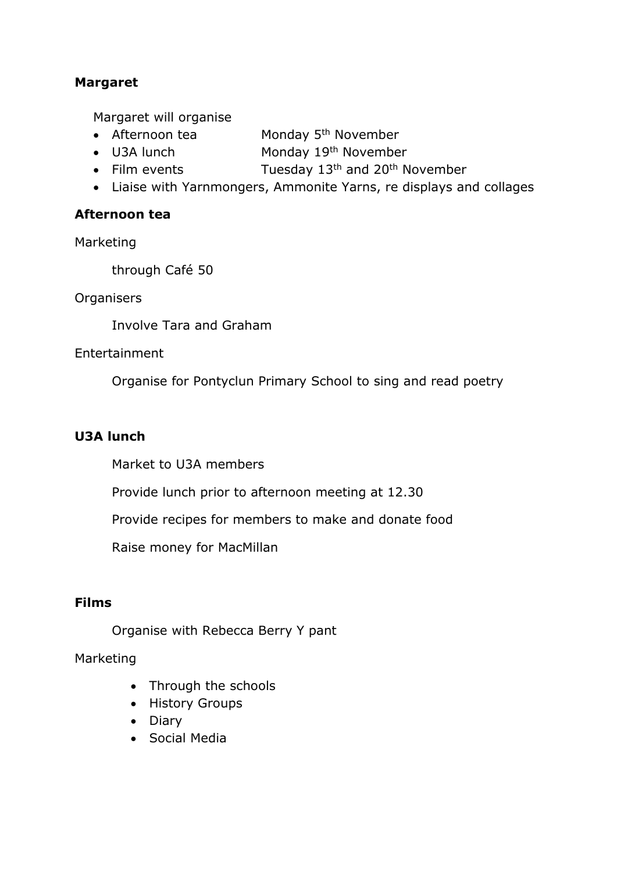#### **Margaret**

Margaret will organise

- Afternoon tea  $\blacksquare$  Monday 5<sup>th</sup> November
- U3A lunch Monday 19th November
- Film events Tuesday  $13<sup>th</sup>$  and  $20<sup>th</sup>$  November
- Liaise with Yarnmongers, Ammonite Yarns, re displays and collages

#### **Afternoon tea**

Marketing

through Café 50

**Organisers** 

Involve Tara and Graham

#### Entertainment

Organise for Pontyclun Primary School to sing and read poetry

#### **U3A lunch**

Market to U3A members

Provide lunch prior to afternoon meeting at 12.30

Provide recipes for members to make and donate food

Raise money for MacMillan

#### **Films**

Organise with Rebecca Berry Y pant

Marketing

- Through the schools
- History Groups
- Diary
- Social Media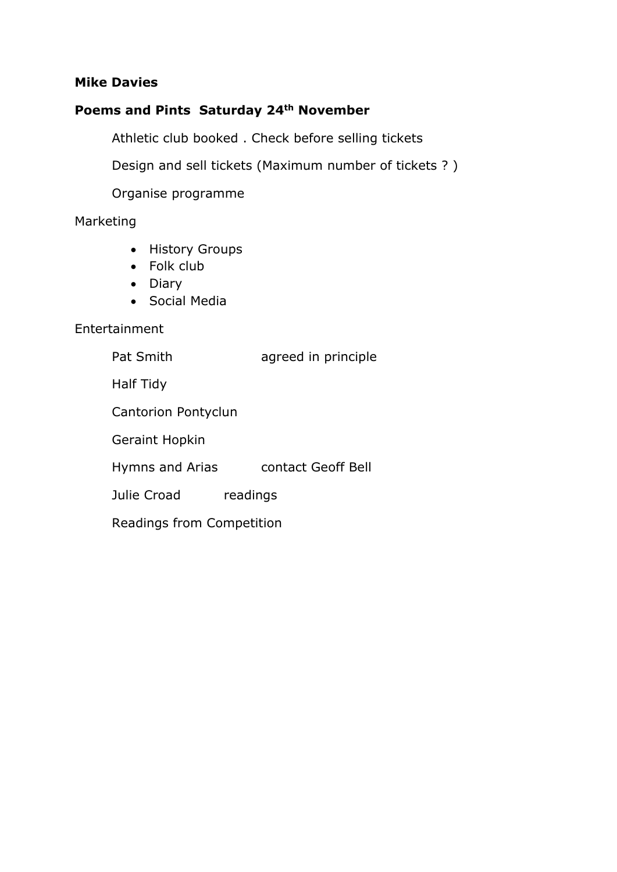#### **Mike Davies**

### **Poems and Pints Saturday 24th November**

Athletic club booked . Check before selling tickets

Design and sell tickets (Maximum number of tickets ? )

Organise programme

#### Marketing

- History Groups
- Folk club
- Diary
- Social Media

#### Entertainment

| Pat Smith                 | agreed in principle |  |  |
|---------------------------|---------------------|--|--|
| Half Tidy                 |                     |  |  |
| Cantorion Pontyclun       |                     |  |  |
| <b>Geraint Hopkin</b>     |                     |  |  |
| Hymns and Arias           | contact Geoff Bell  |  |  |
| Julie Croad               | readings            |  |  |
| Readings from Competition |                     |  |  |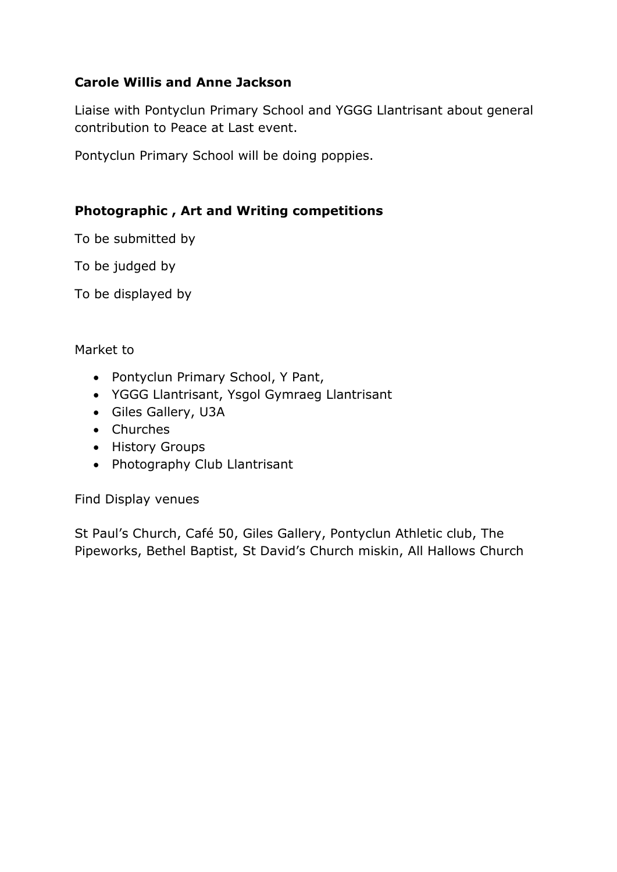#### **Carole Willis and Anne Jackson**

Liaise with Pontyclun Primary School and YGGG Llantrisant about general contribution to Peace at Last event.

Pontyclun Primary School will be doing poppies.

#### **Photographic , Art and Writing competitions**

To be submitted by

To be judged by

To be displayed by

#### Market to

- Pontyclun Primary School, Y Pant,
- YGGG Llantrisant, Ysgol Gymraeg Llantrisant
- Giles Gallery, U3A
- Churches
- History Groups
- Photography Club Llantrisant

Find Display venues

St Paul's Church, Café 50, Giles Gallery, Pontyclun Athletic club, The Pipeworks, Bethel Baptist, St David's Church miskin, All Hallows Church